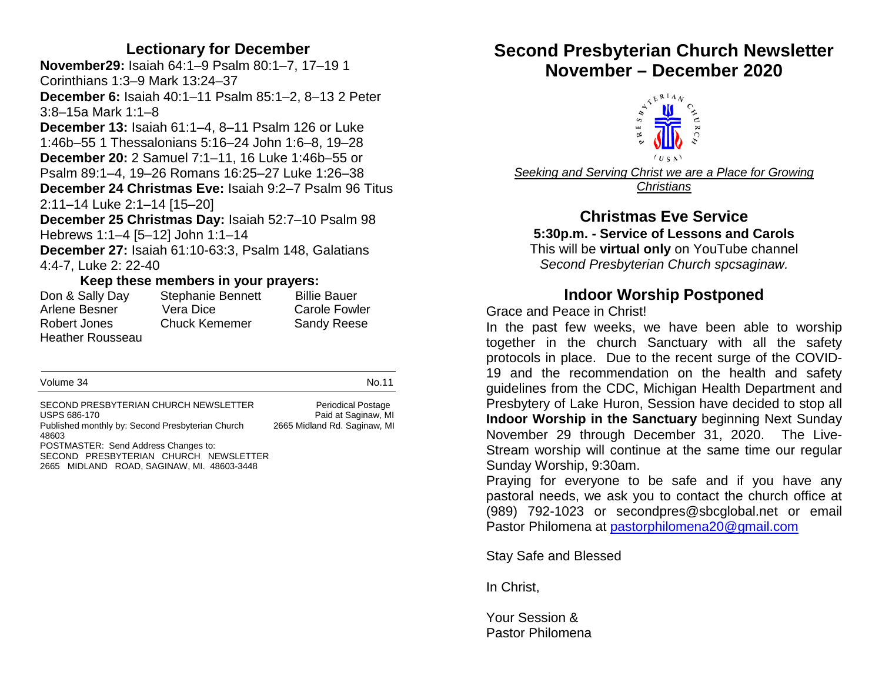#### **Lectionary for December**

**November29:** Isaiah 64:1–9 Psalm 80:1–7, 17–19 1 Corinthians 1:3–9 Mark 13:24–37 **December 6:** Isaiah 40:1–11 Psalm 85:1–2, 8–13 2 Peter 3:8–15a Mark 1:1–8 **December 13:** Isaiah 61:1–4, 8–11 Psalm 126 or Luke 1:46b–55 1 Thessalonians 5:16–24 John 1:6–8, 19–28 **December 20:** 2 Samuel 7:1–11, 16 Luke 1:46b–55 or Psalm 89:1–4, 19–26 Romans 16:25–27 Luke 1:26–38 **December 24 Christmas Eve:** Isaiah 9:2–7 Psalm 96 Titus 2:11–14 Luke 2:1–14 [15–20] **December 25 Christmas Day:** Isaiah 52:7–10 Psalm 98 Hebrews 1:1–4 [5–12] John 1:1–14

**December 27:** Isaiah 61:10-63:3, Psalm 148, Galatians 4:4-7, Luke 2: 22-40

#### **Keep these members in your prayers:**

| Don & Sally Day         | <b>Stephanie Bennett</b> | <b>Billie Bauer</b>  |
|-------------------------|--------------------------|----------------------|
| Arlene Besner           | Vera Dice                | <b>Carole Fowler</b> |
| Robert Jones            | <b>Chuck Kememer</b>     | <b>Sandy Reese</b>   |
| <b>Heather Rousseau</b> |                          |                      |

| Volume 34                                                                                                                   | No.11                                                                            |
|-----------------------------------------------------------------------------------------------------------------------------|----------------------------------------------------------------------------------|
| SECOND PRESBYTERIAN CHURCH NEWSLETTER<br><b>USPS 686-170</b><br>Published monthly by: Second Presbyterian Church<br>48603   | <b>Periodical Postage</b><br>Paid at Saginaw, MI<br>2665 Midland Rd. Saginaw, MI |
| POSTMASTER: Send Address Changes to:<br>SECOND PRESBYTERIAN CHURCH NEWSLETTER<br>2665 MIDLAND ROAD, SAGINAW, MI. 48603-3448 |                                                                                  |

# **Second Presbyterian Church Newsletter November – December 2020**<br>  $\frac{1}{2} \sum_{n=1}^{\infty} \frac{|\mathbf{U}|^2}{n \sqrt{n}} \sum_{n=1}^{\infty}$



*Seeking and Serving Christ we are a Place for Growing Christians*

## **Christmas Eve Service**

**5:30p.m. - Service of Lessons and Carols**

This will be **virtual only** on YouTube channel *Second Presbyterian Church spcsaginaw.*

## **Indoor Worship Postponed**

Grace and Peace in Christ!

In the past few weeks, we have been able to worship together in the church Sanctuary with all the safety protocols in place. Due to the recent surge of the COVID-19 and the recommendation on the health and safety guidelines from the CDC, Michigan Health Department and Presbytery of Lake Huron, Session have decided to stop all **Indoor Worship in the Sanctuary** beginning Next Sunday November 29 through December 31, 2020. The Live-Stream worship will continue at the same time our regular Sunday Worship, 9:30am.

Praying for everyone to be safe and if you have any pastoral needs, we ask you to contact the church office at (989) 792-1023 or secondpres@sbcglobal.net or email Pastor Philomena at [pastorphilomena20@gmail.com](mailto:pastorphilomena20@gmail.com)

Stay Safe and Blessed

In Christ,

Your Session & Pastor Philomena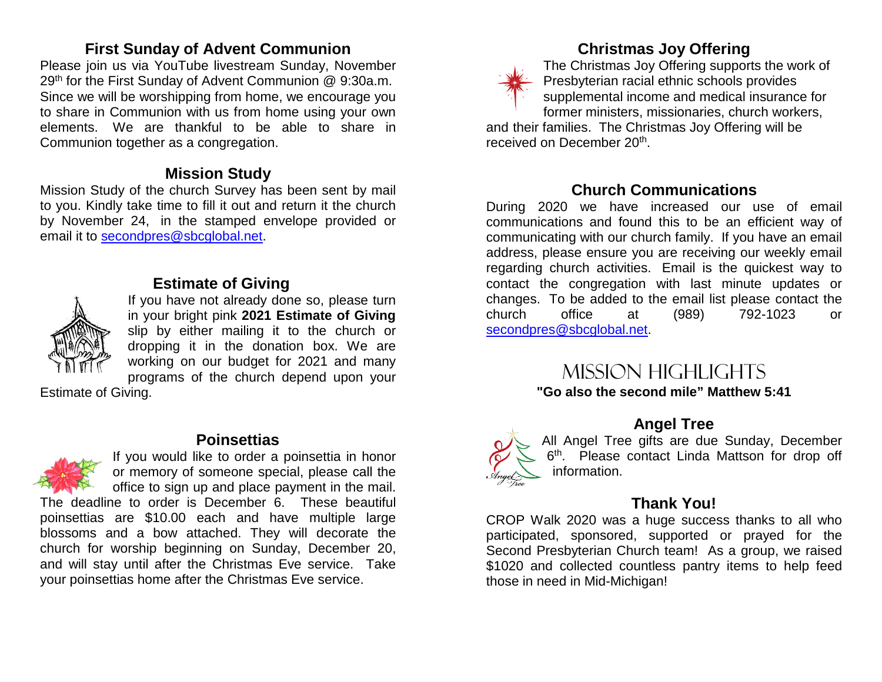#### **First Sunday of Advent Communion**

Please join us via YouTube livestream Sunday, November 29th for the First Sunday of Advent Communion @ 9:30a.m. Since we will be worshipping from home, we encourage you to share in Communion with us from home using your own elements. We are thankful to be able to share in Communion together as a congregation.

#### **Mission Study**

Mission Study of the church Survey has been sent by mail to you. Kindly take time to fill it out and return it the church by November 24, in the stamped envelope provided or email it to [secondpres@sbcglobal.net.](mailto:secondpres@sbcglobal.net)



#### **Estimate of Giving**

If you have not already done so, please turn in your bright pink **2021 Estimate of Giving** slip by either mailing it to the church or dropping it in the donation box. We are working on our budget for 2021 and many programs of the church depend upon your

Estimate of Giving.

#### **Poinsettias**



If you would like to order a poinsettia in honor or memory of someone special, please call the office to sign up and place payment in the mail.

The deadline to order is December 6. These beautiful poinsettias are \$10.00 each and have multiple large blossoms and a bow attached. They will decorate the church for worship beginning on Sunday, December 20, and will stay until after the Christmas Eve service. Take your poinsettias home after the Christmas Eve service.



#### **Christmas Joy Offering**

The Christmas Joy Offering supports the work of Presbyterian racial ethnic schools provides supplemental income and medical insurance for former ministers, missionaries, church workers, and their families. The Christmas Joy Offering will be received on December 20th.

#### **Church Communications**

During 2020 we have increased our use of email communications and found this to be an efficient way of communicating with our church family. If you have an email address, please ensure you are receiving our weekly email regarding church activities. Email is the quickest way to contact the congregation with last minute updates or changes. To be added to the email list please contact the church office at (989) 792-1023 or [secondpres@sbcglobal.net.](mailto:secondpres@sbcglobal.net)

## Mission highlights

**"Go also the second mile" Matthew 5:41**

#### **Angel Tree**



All Angel Tree gifts are due Sunday, December 6<sup>th</sup>. Please contact Linda Mattson for drop off information.

#### **Thank You!**

CROP Walk 2020 was a huge success thanks to all who participated, sponsored, supported or prayed for the Second Presbyterian Church team! As a group, we raised \$1020 and collected countless pantry items to help feed those in need in Mid-Michigan!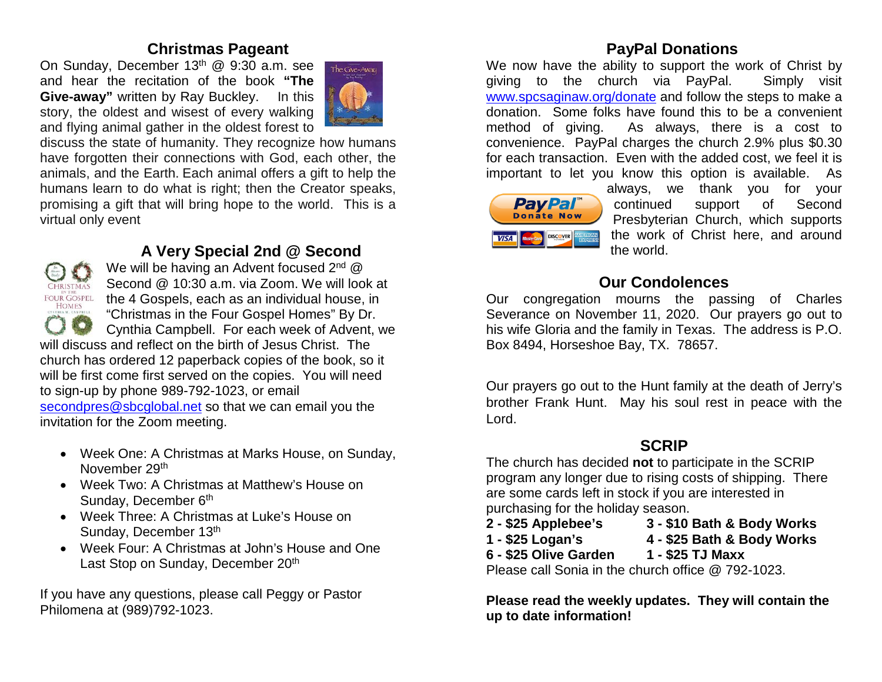#### **Christmas Pageant**

On Sunday, December 13<sup>th</sup> @ 9:30 a.m. see and hear the recitation of the book **"The Give-away"** written by Ray Buckley. In this story, the oldest and wisest of every walking and flying animal gather in the oldest forest to



discuss the state of humanity. They recognize how humans have forgotten their connections with God, each other, the animals, and the Earth. Each animal offers a gift to help the humans learn to do what is right; then the Creator speaks, promising a gift that will bring hope to the world. This is a virtual only event



#### **A Very Special 2nd @ Second**

We will be having an Advent focused 2<sup>nd</sup> @ Second @ 10:30 a.m. via Zoom. We will look at FOUR GOSPEL the 4 Gospels, each as an individual house, in "Christmas in the Four Gospel Homes" By Dr. Cynthia Campbell. For each week of Advent, we

will discuss and reflect on the birth of Jesus Christ. The church has ordered 12 paperback copies of the book, so it will be first come first served on the copies. You will need to sign-up by phone 989-792-1023, or email [secondpres@sbcglobal.net](mailto:secondpres@sbcglobal.net) so that we can email you the invitation for the Zoom meeting.

- Week One: A Christmas at Marks House, on Sunday, November 29th
- Week Two: A Christmas at Matthew's House on Sunday, December 6<sup>th</sup>
- Week Three: A Christmas at Luke's House on Sunday, December 13th
- Week Four: A Christmas at John's House and One Last Stop on Sunday, December 20<sup>th</sup>

If you have any questions, please call Peggy or Pastor Philomena at (989)792-1023.

### **PayPal Donations**

We now have the ability to support the work of Christ by giving to the church via PayPal. Simply visit [www.spcsaginaw.org/donate](http://www.spcsaginaw.org/donate) and follow the steps to make a donation. Some folks have found this to be a convenient method of giving. As always, there is a cost to convenience. PayPal charges the church 2.9% plus \$0.30 for each transaction. Even with the added cost, we feel it is important to let you know this option is available. As



always, we thank you for your continued support of Second Presbyterian Church, which supports the work of Christ here, and around the world.

#### **Our Condolences**

Our congregation mourns the passing of Charles Severance on November 11, 2020. Our prayers go out to his wife Gloria and the family in Texas. The address is P.O. Box 8494, Horseshoe Bay, TX. 78657.

Our prayers go out to the Hunt family at the death of Jerry's brother Frank Hunt. May his soul rest in peace with the Lord.

### **SCRIP**

The church has decided **not** to participate in the SCRIP program any longer due to rising costs of shipping. There are some cards left in stock if you are interested in purchasing for the holiday season.

- 
- **2 - \$25 Applebee's 3 - \$10 Bath & Body Works**
- 
- **1 - \$25 Logan's 4 - \$25 Bath & Body Works**
- **6 - \$25 Olive Garden 1 - \$25 TJ Maxx**

Please call Sonia in the church office @ 792-1023.

**Please read the weekly updates. They will contain the up to date information!**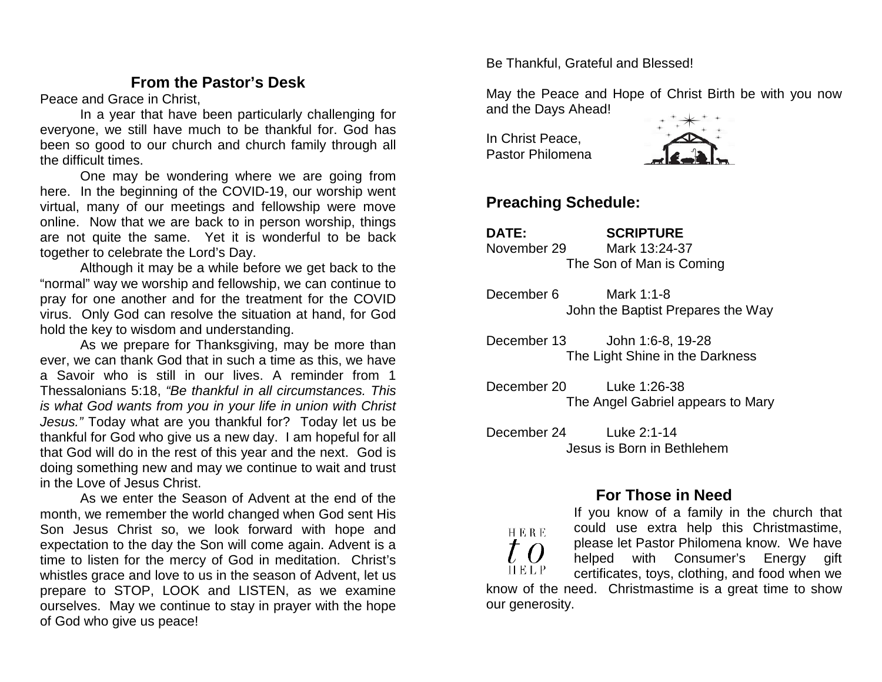#### **From the Pastor's Desk**

Peace and Grace in Christ,

In a year that have been particularly challenging for everyone, we still have much to be thankful for. God has been so good to our church and church family through all the difficult times.

One may be wondering where we are going from here. In the beginning of the COVID-19, our worship went virtual, many of our meetings and fellowship were move online. Now that we are back to in person worship, things are not quite the same. Yet it is wonderful to be back together to celebrate the Lord's Day.

Although it may be a while before we get back to the "normal" way we worship and fellowship, we can continue to pray for one another and for the treatment for the COVID virus. Only God can resolve the situation at hand, for God hold the key to wisdom and understanding.

As we prepare for Thanksgiving, may be more than ever, we can thank God that in such a time as this, we have a Savoir who is still in our lives. A reminder from 1 Thessalonians 5:18, *"Be thankful in all circumstances. This is what God wants from you in your life in union with Christ Jesus."* Today what are you thankful for? Today let us be thankful for God who give us a new day. I am hopeful for all that God will do in the rest of this year and the next. God is doing something new and may we continue to wait and trust in the Love of Jesus Christ.

As we enter the Season of Advent at the end of the month, we remember the world changed when God sent His Son Jesus Christ so, we look forward with hope and expectation to the day the Son will come again. Advent is a time to listen for the mercy of God in meditation. Christ's whistles grace and love to us in the season of Advent, let us prepare to STOP, LOOK and LISTEN, as we examine ourselves. May we continue to stay in prayer with the hope of God who give us peace!

Be Thankful, Grateful and Blessed!

May the Peace and Hope of Christ Birth be with you now and the Days Ahead!

In Christ Peace, Pastor Philomena



#### **Preaching Schedule:**

**DATE: SCRIPTURE**  November 29 Mark 13:24-37 The Son of Man is Coming

December 6 Mark 1:1-8 John the Baptist Prepares the Way

December 13 John 1:6-8, 19-28 The Light Shine in the Darkness

December 20 Luke 1:26-38 The Angel Gabriel appears to Mary

December 24 Luke 2:1-14 Jesus is Born in Bethlehem

#### **For Those in Need**

If you know of a family in the church that could use extra help this Christmastime, **HERE** please let Pastor Philomena know. We have helped with Consumer's Energy gift HELP certificates, toys, clothing, and food when we know of the need. Christmastime is a great time to show our generosity.